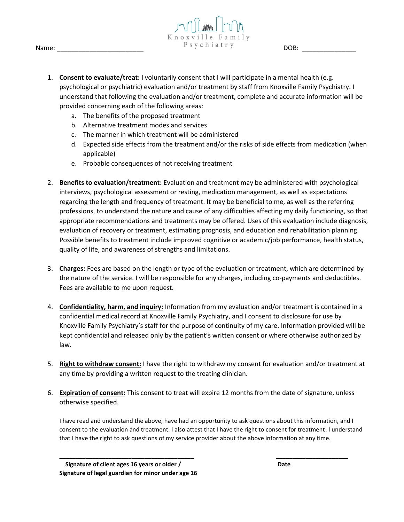



- 1. **Consent to evaluate/treat:** I voluntarily consent that I will participate in a mental health (e.g. psychological or psychiatric) evaluation and/or treatment by staff from Knoxville Family Psychiatry. I understand that following the evaluation and/or treatment, complete and accurate information will be provided concerning each of the following areas:
	- a. The benefits of the proposed treatment
	- b. Alternative treatment modes and services
	- c. The manner in which treatment will be administered
	- d. Expected side effects from the treatment and/or the risks of side effects from medication (when applicable)
	- e. Probable consequences of not receiving treatment
- 2. **Benefits to evaluation/treatment:** Evaluation and treatment may be administered with psychological interviews, psychological assessment or resting, medication management, as well as expectations regarding the length and frequency of treatment. It may be beneficial to me, as well as the referring professions, to understand the nature and cause of any difficulties affecting my daily functioning, so that appropriate recommendations and treatments may be offered. Uses of this evaluation include diagnosis, evaluation of recovery or treatment, estimating prognosis, and education and rehabilitation planning. Possible benefits to treatment include improved cognitive or academic/job performance, health status, quality of life, and awareness of strengths and limitations.
- 3. **Charges:** Fees are based on the length or type of the evaluation or treatment, which are determined by the nature of the service. I will be responsible for any charges, including co-payments and deductibles. Fees are available to me upon request.
- 4. **Confidentiality, harm, and inquiry:** Information from my evaluation and/or treatment is contained in a confidential medical record at Knoxville Family Psychiatry, and I consent to disclosure for use by Knoxville Family Psychiatry's staff for the purpose of continuity of my care. Information provided will be kept confidential and released only by the patient's written consent or where otherwise authorized by law.
- 5. **Right to withdraw consent:** I have the right to withdraw my consent for evaluation and/or treatment at any time by providing a written request to the treating clinician.
- 6. **Expiration of consent:** This consent to treat will expire 12 months from the date of signature, unless otherwise specified.

I have read and understand the above, have had an opportunity to ask questions about this information, and I consent to the evaluation and treatment. I also attest that I have the right to consent for treatment. I understand that I have the right to ask questions of my service provider about the above information at any time.

**\_\_\_\_\_\_\_\_\_\_\_\_\_\_\_\_\_\_\_\_\_\_\_\_\_\_\_\_\_\_\_\_\_\_\_\_\_\_\_\_\_ \_\_\_\_\_\_\_\_\_\_\_\_\_\_\_\_\_\_\_\_\_\_**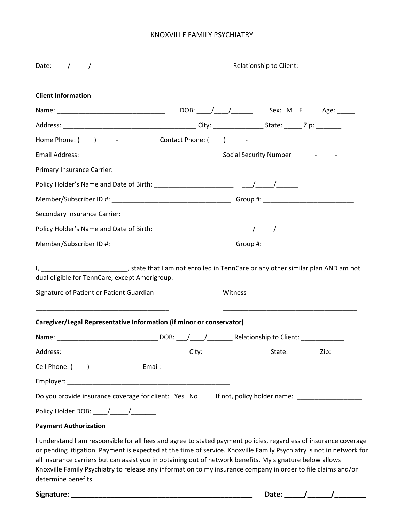| <b>Client Information</b>                                                                                                                                                                                                                                                                                                                                                                                                                                                                      |  |         |  |           |  |
|------------------------------------------------------------------------------------------------------------------------------------------------------------------------------------------------------------------------------------------------------------------------------------------------------------------------------------------------------------------------------------------------------------------------------------------------------------------------------------------------|--|---------|--|-----------|--|
|                                                                                                                                                                                                                                                                                                                                                                                                                                                                                                |  |         |  |           |  |
|                                                                                                                                                                                                                                                                                                                                                                                                                                                                                                |  |         |  |           |  |
|                                                                                                                                                                                                                                                                                                                                                                                                                                                                                                |  |         |  |           |  |
|                                                                                                                                                                                                                                                                                                                                                                                                                                                                                                |  |         |  |           |  |
|                                                                                                                                                                                                                                                                                                                                                                                                                                                                                                |  |         |  |           |  |
|                                                                                                                                                                                                                                                                                                                                                                                                                                                                                                |  |         |  |           |  |
|                                                                                                                                                                                                                                                                                                                                                                                                                                                                                                |  |         |  |           |  |
|                                                                                                                                                                                                                                                                                                                                                                                                                                                                                                |  |         |  |           |  |
|                                                                                                                                                                                                                                                                                                                                                                                                                                                                                                |  |         |  |           |  |
|                                                                                                                                                                                                                                                                                                                                                                                                                                                                                                |  |         |  |           |  |
| Signature of Patient or Patient Guardian                                                                                                                                                                                                                                                                                                                                                                                                                                                       |  | Witness |  |           |  |
| Caregiver/Legal Representative Information (if minor or conservator)                                                                                                                                                                                                                                                                                                                                                                                                                           |  |         |  |           |  |
|                                                                                                                                                                                                                                                                                                                                                                                                                                                                                                |  |         |  |           |  |
| Address:                                                                                                                                                                                                                                                                                                                                                                                                                                                                                       |  |         |  |           |  |
|                                                                                                                                                                                                                                                                                                                                                                                                                                                                                                |  |         |  |           |  |
|                                                                                                                                                                                                                                                                                                                                                                                                                                                                                                |  |         |  |           |  |
| Do you provide insurance coverage for client: Yes No If not, policy holder name: __________________                                                                                                                                                                                                                                                                                                                                                                                            |  |         |  |           |  |
| Policy Holder DOB: ____/_____/________                                                                                                                                                                                                                                                                                                                                                                                                                                                         |  |         |  |           |  |
| <b>Payment Authorization</b>                                                                                                                                                                                                                                                                                                                                                                                                                                                                   |  |         |  |           |  |
| I understand I am responsible for all fees and agree to stated payment policies, regardless of insurance coverage<br>or pending litigation. Payment is expected at the time of service. Knoxville Family Psychiatry is not in network for<br>all insurance carriers but can assist you in obtaining out of network benefits. My signature below allows<br>Knoxville Family Psychiatry to release any information to my insurance company in order to file claims and/or<br>determine benefits. |  |         |  |           |  |
|                                                                                                                                                                                                                                                                                                                                                                                                                                                                                                |  |         |  | Date: / / |  |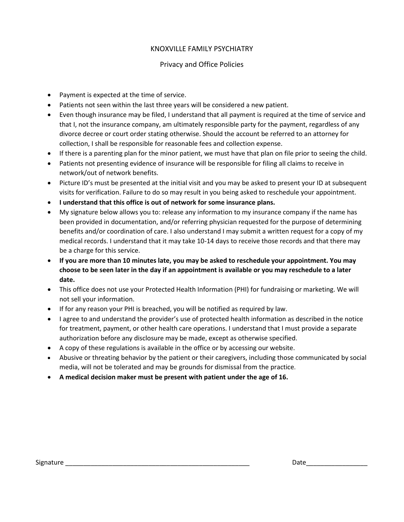### Privacy and Office Policies

- Payment is expected at the time of service.
- Patients not seen within the last three years will be considered a new patient.
- Even though insurance may be filed, I understand that all payment is required at the time of service and that I, not the insurance company, am ultimately responsible party for the payment, regardless of any divorce decree or court order stating otherwise. Should the account be referred to an attorney for collection, I shall be responsible for reasonable fees and collection expense.
- If there is a parenting plan for the minor patient, we must have that plan on file prior to seeing the child.
- Patients not presenting evidence of insurance will be responsible for filing all claims to receive in network/out of network benefits.
- Picture ID's must be presented at the initial visit and you may be asked to present your ID at subsequent visits for verification. Failure to do so may result in you being asked to reschedule your appointment.
- **I understand that this office is out of network for some insurance plans.**
- My signature below allows you to: release any information to my insurance company if the name has been provided in documentation, and/or referring physician requested for the purpose of determining benefits and/or coordination of care. I also understand I may submit a written request for a copy of my medical records. I understand that it may take 10-14 days to receive those records and that there may be a charge for this service.
- **If you are more than 10 minutes late, you may be asked to reschedule your appointment. You may choose to be seen later in the day if an appointment is available or you may reschedule to a later date.**
- This office does not use your Protected Health Information (PHI) for fundraising or marketing. We will not sell your information.
- If for any reason your PHI is breached, you will be notified as required by law.
- I agree to and understand the provider's use of protected health information as described in the notice for treatment, payment, or other health care operations. I understand that I must provide a separate authorization before any disclosure may be made, except as otherwise specified.
- A copy of these regulations is available in the office or by accessing our website.
- Abusive or threating behavior by the patient or their caregivers, including those communicated by social media, will not be tolerated and may be grounds for dismissal from the practice.
- **A medical decision maker must be present with patient under the age of 16.**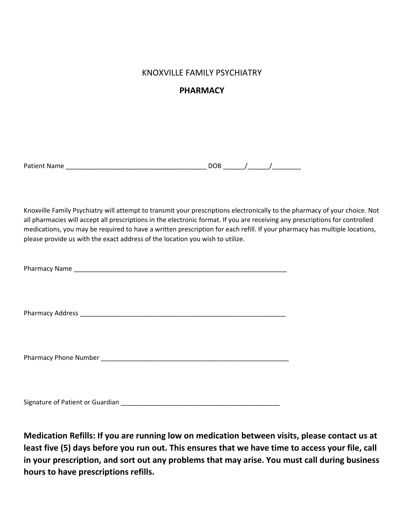## **PHARMACY**

| <b>Patient Name</b> | n. |  |  |
|---------------------|----|--|--|
|                     |    |  |  |

Knoxville Family Psychiatry will attempt to transmit your prescriptions electronically to the pharmacy of your choice. Not all pharmacies will accept all prescriptions in the electronic format. If you are receiving any prescriptions for controlled medications, you may be required to have a written prescription for each refill. If your pharmacy has multiple locations, please provide us with the exact address of the location you wish to utilize.

Signature of Patient or Guardian \_\_\_\_\_\_\_\_\_\_\_\_\_\_\_\_\_\_\_\_\_\_\_\_\_\_\_\_\_\_\_\_\_\_\_\_\_\_\_\_\_\_\_\_

**Medication Refills: If you are running low on medication between visits, please contact us at least five (5) days before you run out. This ensures that we have time to access your file, call in your prescription, and sort out any problems that may arise. You must call during business hours to have prescriptions refills.**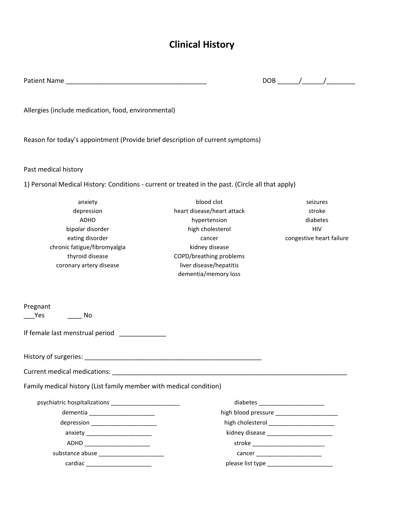# **Clinical History**

| <b>Patient Name</b> |  |
|---------------------|--|
|                     |  |

Patient Name \_\_\_\_\_\_\_\_\_\_\_\_\_\_\_\_\_\_\_\_\_\_\_\_\_\_\_\_\_\_\_\_\_\_\_\_\_\_\_ DOB \_\_\_\_\_\_/\_\_\_\_\_\_/\_\_\_\_\_\_\_\_

Allergies (include medication, food, environmental)

Reason for today's appointment (Provide brief description of current symptoms)

#### Past medical history

1) Personal Medical History: Conditions - current or treated in the past. (Circle all that apply)

| anxiety                                                            | blood clot                 | seizures                           |  |
|--------------------------------------------------------------------|----------------------------|------------------------------------|--|
| depression                                                         | heart disease/heart attack | stroke                             |  |
| <b>ADHD</b>                                                        | hypertension               | diabetes                           |  |
| bipolar disorder                                                   | high cholesterol           | <b>HIV</b>                         |  |
| eating disorder                                                    | cancer                     | congestive heart failure           |  |
| chronic fatigue/fibromyalgia                                       | kidney disease             |                                    |  |
| thyroid disease                                                    | COPD/breathing problems    |                                    |  |
| coronary artery disease                                            | liver disease/hepatitis    |                                    |  |
|                                                                    | dementia/memory loss       |                                    |  |
| Pregnant<br>Yes<br>No                                              |                            |                                    |  |
|                                                                    |                            |                                    |  |
| If female last menstrual period                                    |                            |                                    |  |
|                                                                    |                            |                                    |  |
|                                                                    |                            |                                    |  |
| Family medical history (List family member with medical condition) |                            |                                    |  |
|                                                                    |                            | diabetes _________________________ |  |
| dementia ________________________                                  |                            |                                    |  |
| depression _________________________                               |                            |                                    |  |
| anxiety _________________________                                  |                            |                                    |  |
| ADHD ________________________                                      |                            | stroke ___________________________ |  |
|                                                                    |                            | cancer _________________________   |  |
| cardiac _______________________                                    |                            |                                    |  |
|                                                                    |                            |                                    |  |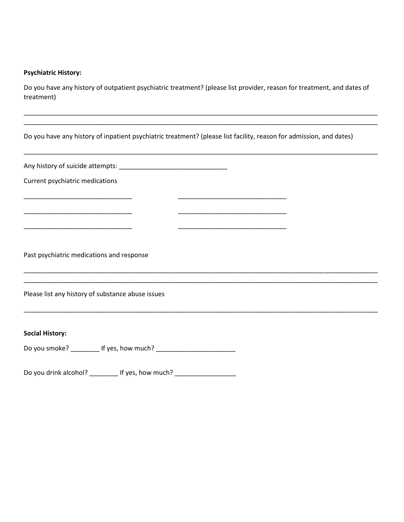## **Psychiatric History:**

Do you have any history of outpatient psychiatric treatment? (please list provider, reason for treatment, and dates of treatment)

\_\_\_\_\_\_\_\_\_\_\_\_\_\_\_\_\_\_\_\_\_\_\_\_\_\_\_\_\_\_\_\_\_\_\_\_\_\_\_\_\_\_\_\_\_\_\_\_\_\_\_\_\_\_\_\_\_\_\_\_\_\_\_\_\_\_\_\_\_\_\_\_\_\_\_\_\_\_\_\_\_\_\_\_\_\_\_\_\_\_\_\_\_\_\_\_\_\_

| Do you have any history of inpatient psychiatric treatment? (please list facility, reason for admission, and dates)                                              |  |  |  |  |
|------------------------------------------------------------------------------------------------------------------------------------------------------------------|--|--|--|--|
|                                                                                                                                                                  |  |  |  |  |
| Current psychiatric medications                                                                                                                                  |  |  |  |  |
|                                                                                                                                                                  |  |  |  |  |
|                                                                                                                                                                  |  |  |  |  |
| Past psychiatric medications and response<br><u> 1989 - Johann John Stoff, deutscher Stoffen und der Stoffen und der Stoffen und der Stoffen und der Stoffen</u> |  |  |  |  |
| Please list any history of substance abuse issues                                                                                                                |  |  |  |  |
|                                                                                                                                                                  |  |  |  |  |
| <b>Social History:</b>                                                                                                                                           |  |  |  |  |

Do you drink alcohol? \_\_\_\_\_\_\_\_\_\_ If yes, how much? \_\_\_\_\_\_\_\_\_\_\_\_\_\_\_\_\_\_\_\_\_\_\_\_\_\_\_\_\_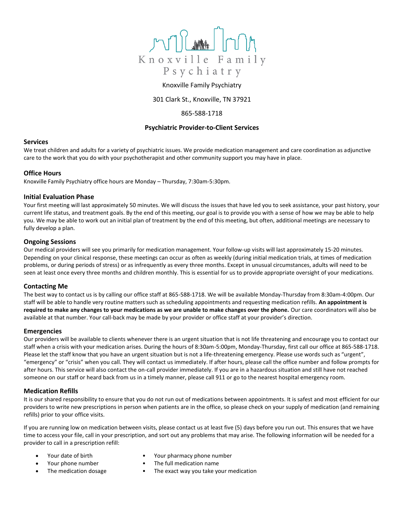

#### Knoxville Family Psychiatry

301 Clark St., Knoxville, TN 37921

#### 865-588-1718

#### **Psychiatric Provider-to-Client Services**

#### **Services**

We treat children and adults for a variety of psychiatric issues. We provide medication management and care coordination as adjunctive care to the work that you do with your psychotherapist and other community support you may have in place.

#### **Office Hours**

Knoxville Family Psychiatry office hours are Monday – Thursday, 7:30am-5:30pm.

#### **Initial Evaluation Phase**

Your first meeting will last approximately 50 minutes. We will discuss the issues that have led you to seek assistance, your past history, your current life status, and treatment goals. By the end of this meeting, our goal is to provide you with a sense of how we may be able to help you. We may be able to work out an initial plan of treatment by the end of this meeting, but often, additional meetings are necessary to fully develop a plan.

#### **Ongoing Sessions**

Our medical providers will see you primarily for medication management. Your follow-up visits will last approximately 15-20 minutes. Depending on your clinical response, these meetings can occur as often as weekly (during initial medication trials, at times of medication problems, or during periods of stress) or as infrequently as every three months. Except in unusual circumstances, adults will need to be seen at least once every three months and children monthly. This is essential for us to provide appropriate oversight of your medications.

#### **Contacting Me**

The best way to contact us is by calling our office staff at 865-588-1718. We will be available Monday-Thursday from 8:30am-4:00pm. Our staff will be able to handle very routine matters such as scheduling appointments and requesting medication refills. **An appointment is required to make any changes to your medications as we are unable to make changes over the phone.** Our care coordinators will also be available at that number. Your call-back may be made by your provider or office staff at your provider's direction.

#### **Emergencies**

Our providers will be available to clients whenever there is an urgent situation that is not life threatening and encourage you to contact our staff when a crisis with your medication arises. During the hours of 8:30am-5:00pm, Monday-Thursday, first call our office at 865-588-1718. Please let the staff know that you have an urgent situation but is not a life-threatening emergency. Please use words such as "urgent", "emergency" or "crisis" when you call. They will contact us immediately. If after hours, please call the office number and follow prompts for after hours. This service will also contact the on-call provider immediately. If you are in a hazardous situation and still have not reached someone on our staff or heard back from us in a timely manner, please call 911 or go to the nearest hospital emergency room.

#### **Medication Refills**

It is our shared responsibility to ensure that you do not run out of medications between appointments. It is safest and most efficient for our providers to write new prescriptions in person when patients are in the office, so please check on your supply of medication (and remaining refills) prior to your office visits.

If you are running low on medication between visits, please contact us at least five (5) days before you run out. This ensures that we have time to access your file, call in your prescription, and sort out any problems that may arise. The following information will be needed for a provider to call in a prescription refill:

- - Your date of birth Your pharmacy phone number
- 
- 
- Your phone number The full medication name
- The medication dosage **•** The exact way you take your medication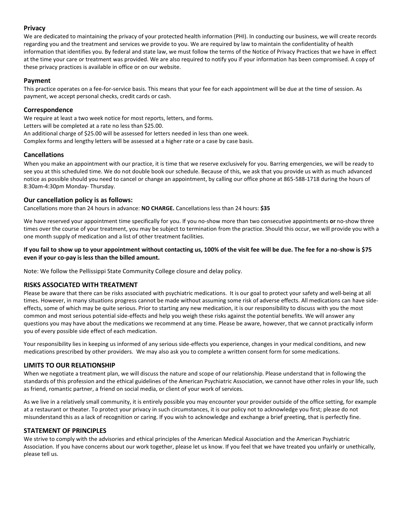#### **Privacy**

We are dedicated to maintaining the privacy of your protected health information (PHI). In conducting our business, we will create records regarding you and the treatment and services we provide to you. We are required by law to maintain the confidentiality of health information that identifies you. By federal and state law, we must follow the terms of the Notice of Privacy Practices that we have in effect at the time your care or treatment was provided. We are also required to notify you if your information has been compromised. A copy of these privacy practices is available in office or on our website.

#### **Payment**

This practice operates on a fee-for-service basis. This means that your fee for each appointment will be due at the time of session. As payment, we accept personal checks, credit cards or cash.

#### **Correspondence**

We require at least a two week notice for most reports, letters, and forms. Letters will be completed at a rate no less than \$25.00. An additional charge of \$25.00 will be assessed for letters needed in less than one week.

Complex forms and lengthy letters will be assessed at a higher rate or a case by case basis.

#### **Cancellations**

When you make an appointment with our practice, it is time that we reserve exclusively for you. Barring emergencies, we will be ready to see you at this scheduled time. We do not double book our schedule. Because of this, we ask that you provide us with as much advanced notice as possible should you need to cancel or change an appointment, by calling our office phone at 865-588-1718 during the hours of 8:30am-4:30pm Monday- Thursday.

#### **Our cancellation policy is as follows:**

Cancellations more than 24 hours in advance: **NO CHARGE.** Cancellations less than 24 hours: **\$35**

We have reserved your appointment time specifically for you. If you no-show more than two consecutive appointments **or** no-show three times over the course of your treatment, you may be subject to termination from the practice. Should this occur, we will provide you with a one month supply of medication and a list of other treatment facilities.

#### **If you fail to show up to your appointment without contacting us, 100% of the visit fee will be due. The fee for a no-show is \$75 even if your co-pay is less than the billed amount.**

Note: We follow the Pellissippi State Community College closure and delay policy.

#### **RISKS ASSOCIATED WITH TREATMENT**

Please be aware that there can be risks associated with psychiatric medications. It is our goal to protect your safety and well-being at all times. However, in many situations progress cannot be made without assuming some risk of adverse effects. All medications can have sideeffects, some of which may be quite serious. Prior to starting any new medication, it is our responsibility to discuss with you the most common and most serious potential side-effects and help you weigh these risks against the potential benefits. We will answer any questions you may have about the medications we recommend at any time. Please be aware, however, that we cannot practically inform you of every possible side effect of each medication.

Your responsibility lies in keeping us informed of any serious side-effects you experience, changes in your medical conditions, and new medications prescribed by other providers. We may also ask you to complete a written consent form for some medications.

#### **LIMITS TO OUR RELATIONSHIP**

When we negotiate a treatment plan, we will discuss the nature and scope of our relationship. Please understand that in following the standards of this profession and the ethical guidelines of the American Psychiatric Association, we cannot have other roles in your life, such as friend, romantic partner, a friend on social media, or client of your work of services.

As we live in a relatively small community, it is entirely possible you may encounter your provider outside of the office setting, for example at a restaurant or theater. To protect your privacy in such circumstances, it is our policy not to acknowledge you first; please do not misunderstand this as a lack of recognition or caring. If you wish to acknowledge and exchange a brief greeting, that is perfectly fine.

#### **STATEMENT OF PRINCIPLES**

We strive to comply with the advisories and ethical principles of the American Medical Association and the American Psychiatric Association. If you have concerns about our work together, please let us know. If you feel that we have treated you unfairly or unethically, please tell us.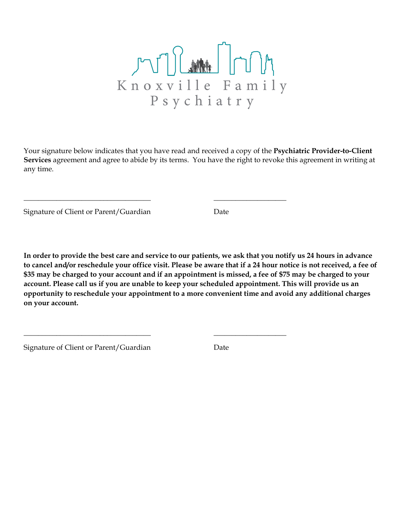

Your signature below indicates that you have read and received a copy of the **Psychiatric Provider-to-Client Services** agreement and agree to abide by its terms. You have the right to revoke this agreement in writing at any time.

\_\_\_\_\_\_\_\_\_\_\_\_\_\_\_\_\_\_\_\_\_\_\_\_\_\_\_\_\_\_\_\_\_\_\_ \_\_\_\_\_\_\_\_\_\_\_\_\_\_\_\_\_\_\_\_

\_\_\_\_\_\_\_\_\_\_\_\_\_\_\_\_\_\_\_\_\_\_\_\_\_\_\_\_\_\_\_\_\_\_\_ \_\_\_\_\_\_\_\_\_\_\_\_\_\_\_\_\_\_\_\_

Signature of Client or Parent/Guardian Date

**In order to provide the best care and service to our patients, we ask that you notify us 24 hours in advance to cancel and/or reschedule your office visit. Please be aware that if a 24 hour notice is not received, a fee of \$35 may be charged to your account and if an appointment is missed, a fee of \$75 may be charged to your account. Please call us if you are unable to keep your scheduled appointment. This will provide us an opportunity to reschedule your appointment to a more convenient time and avoid any additional charges on your account.** 

Signature of Client or Parent/Guardian Date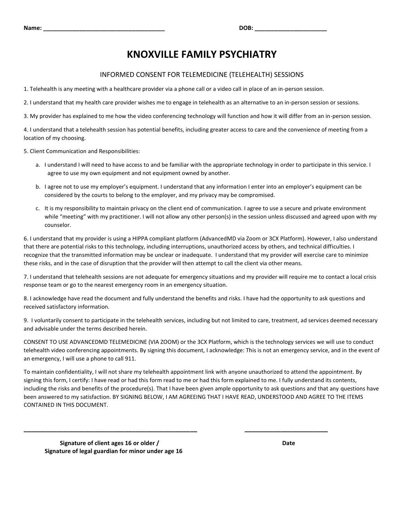#### INFORMED CONSENT FOR TELEMEDICINE (TELEHEALTH) SESSIONS

1. Telehealth is any meeting with a healthcare provider via a phone call or a video call in place of an in-person session.

2. I understand that my health care provider wishes me to engage in telehealth as an alternative to an in-person session or sessions.

3. My provider has explained to me how the video conferencing technology will function and how it will differ from an in-person session.

4. I understand that a telehealth session has potential benefits, including greater access to care and the convenience of meeting from a location of my choosing.

5. Client Communication and Responsibilities:

- a. I understand I will need to have access to and be familiar with the appropriate technology in order to participate in this service. I agree to use my own equipment and not equipment owned by another.
- b. I agree not to use my employer's equipment. I understand that any information I enter into an employer's equipment can be considered by the courts to belong to the employer, and my privacy may be compromised.
- c. It is my responsibility to maintain privacy on the client end of communication. I agree to use a secure and private environment while "meeting" with my practitioner. I will not allow any other person(s) in the session unless discussed and agreed upon with my counselor.

6. I understand that my provider is using a HIPPA compliant platform (AdvancedMD via Zoom or 3CX Platform). However, I also understand that there are potential risks to this technology, including interruptions, unauthorized access by others, and technical difficulties. I recognize that the transmitted information may be unclear or inadequate. I understand that my provider will exercise care to minimize these risks, and in the case of disruption that the provider will then attempt to call the client via other means.

7. I understand that telehealth sessions are not adequate for emergency situations and my provider will require me to contact a local crisis response team or go to the nearest emergency room in an emergency situation.

8. I acknowledge have read the document and fully understand the benefits and risks. I have had the opportunity to ask questions and received satisfactory information.

9. I voluntarily consent to participate in the telehealth services, including but not limited to care, treatment, ad services deemed necessary and advisable under the terms described herein.

CONSENT TO USE ADVANCEDMD TELEMEDICINE (VIA ZOOM) or the 3CX Platform, which is the technology services we will use to conduct telehealth video conferencing appointments. By signing this document, I acknowledge: This is not an emergency service, and in the event of an emergency, I will use a phone to call 911.

To maintain confidentiality, I will not share my telehealth appointment link with anyone unauthorized to attend the appointment. By signing this form, I certify: I have read or had this form read to me or had this form explained to me. I fully understand its contents, including the risks and benefits of the procedure(s). That I have been given ample opportunity to ask questions and that any questions have been answered to my satisfaction. BY SIGNING BELOW, I AM AGREEING THAT I HAVE READ, UNDERSTOOD AND AGREE TO THE ITEMS CONTAINED IN THIS DOCUMENT.

**\_\_\_\_\_\_\_\_\_\_\_\_\_\_\_\_\_\_\_\_\_\_\_\_\_\_\_\_\_\_\_\_\_\_\_\_\_\_\_\_\_\_\_\_\_\_\_\_ \_\_\_\_\_\_\_\_\_\_\_\_\_\_\_\_\_\_\_\_\_\_\_**

**Signature of client ages 16 or older / Date Date Date Date Date Signature of legal guardian for minor under age 16**